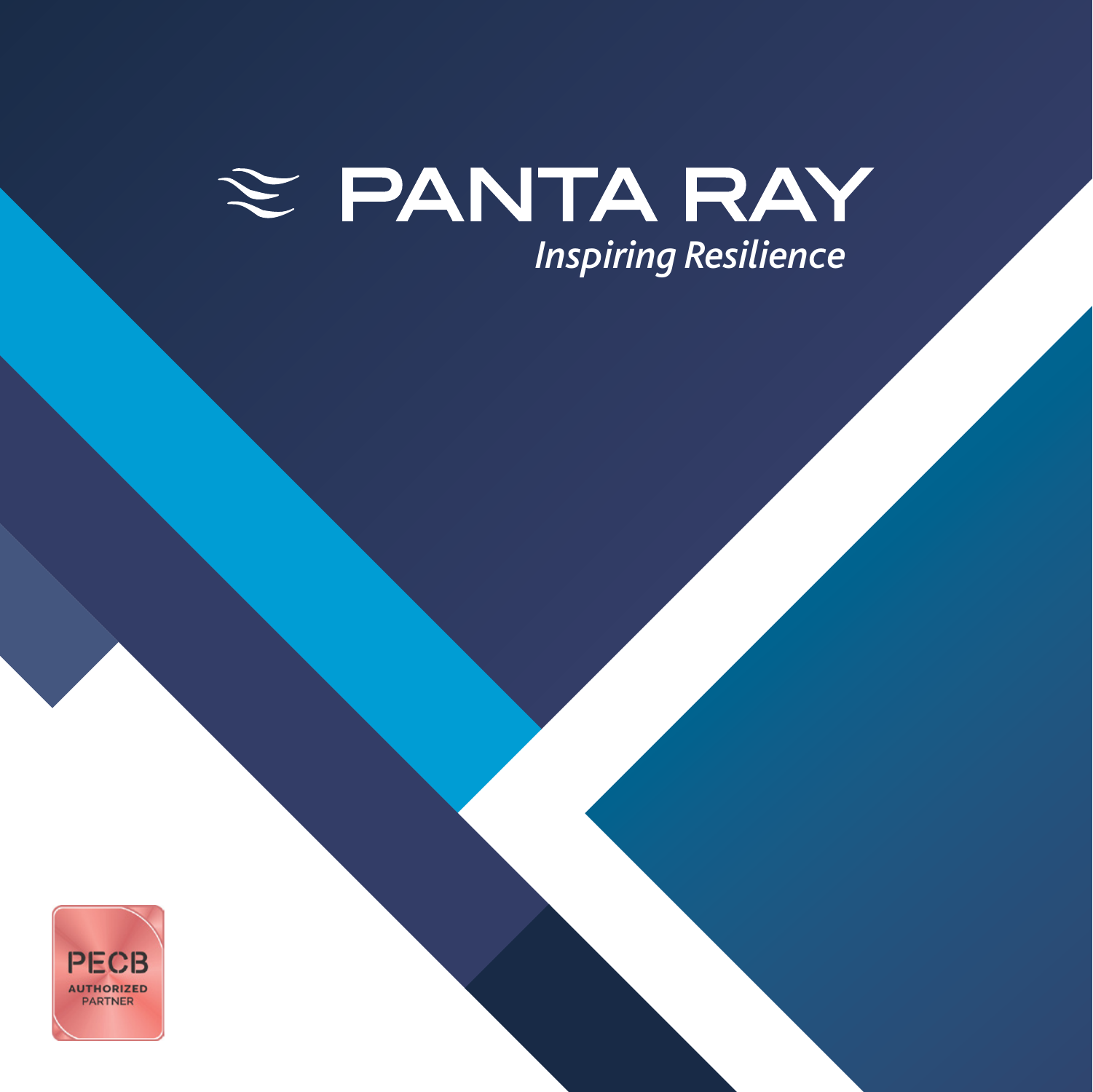# $\approx$  PANTA RAY *[Inspiring Resilience](http://pantaray.eu)*

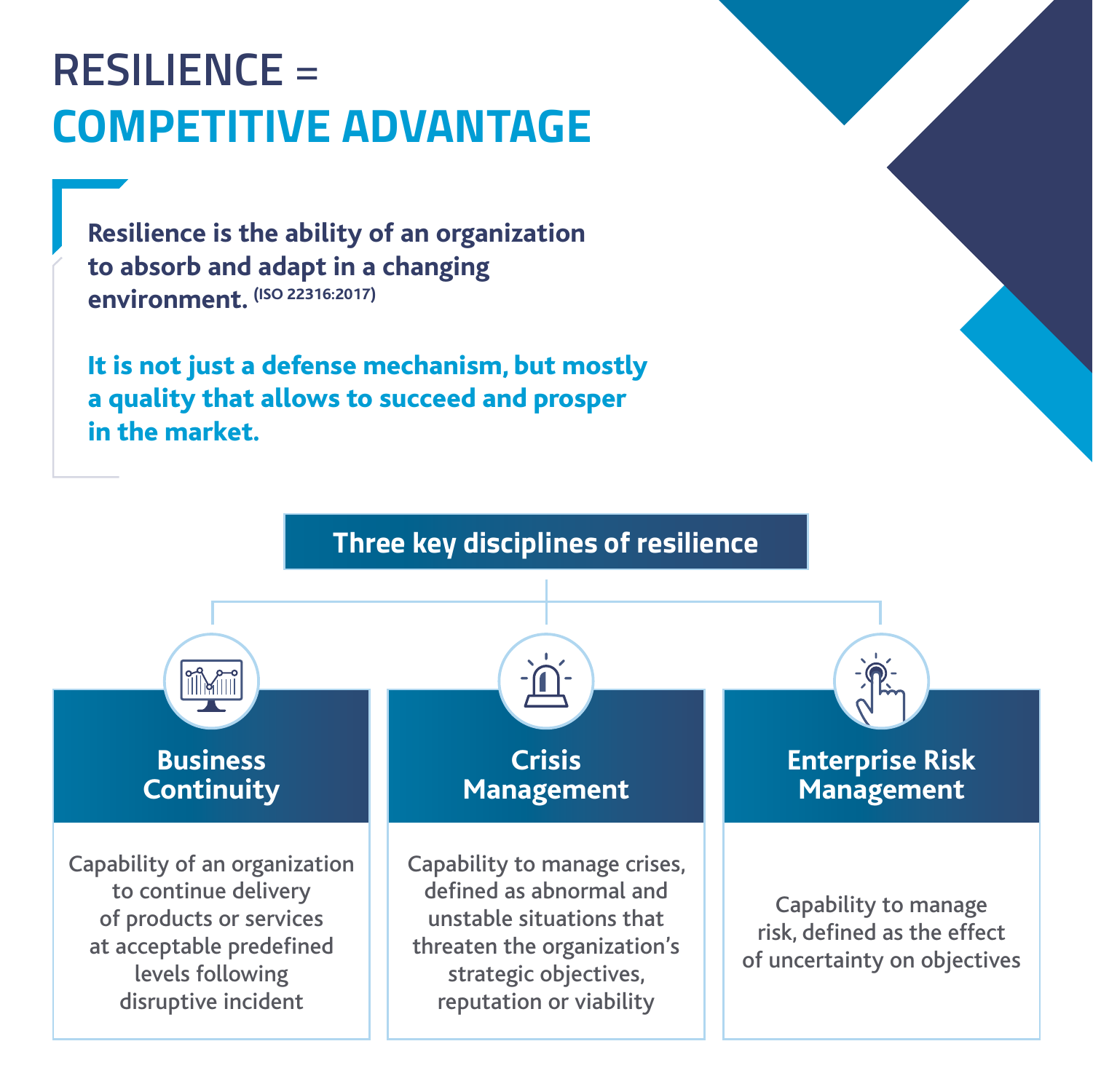### **RESILIENCE** = **COMPETITIVE ADVANTAGE**

**Resilience is the ability of an organization to absorb and adapt in a changing environment. (ISO 22316:2017)**

It is not just a defense mechanism, but mostly a quality that allows to succeed and prosper in the market.

**Three key disciplines of resilience**

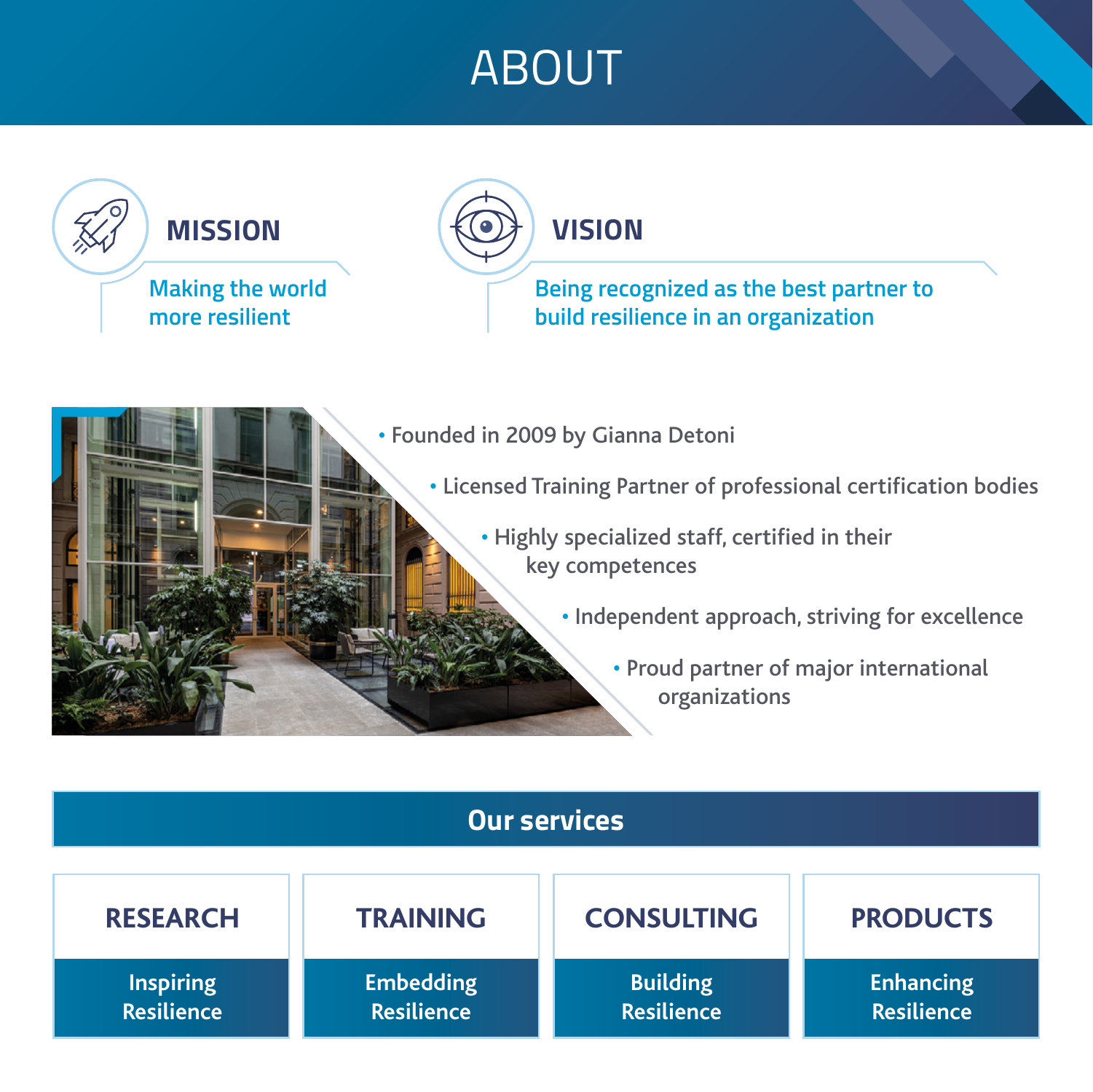### ABOUT



#### **Our services TRAINING Embedding Resilience CONSULTING Building Resilience PRODUCTS Enhancing Resilience RESEARCH Inspiring Resilience**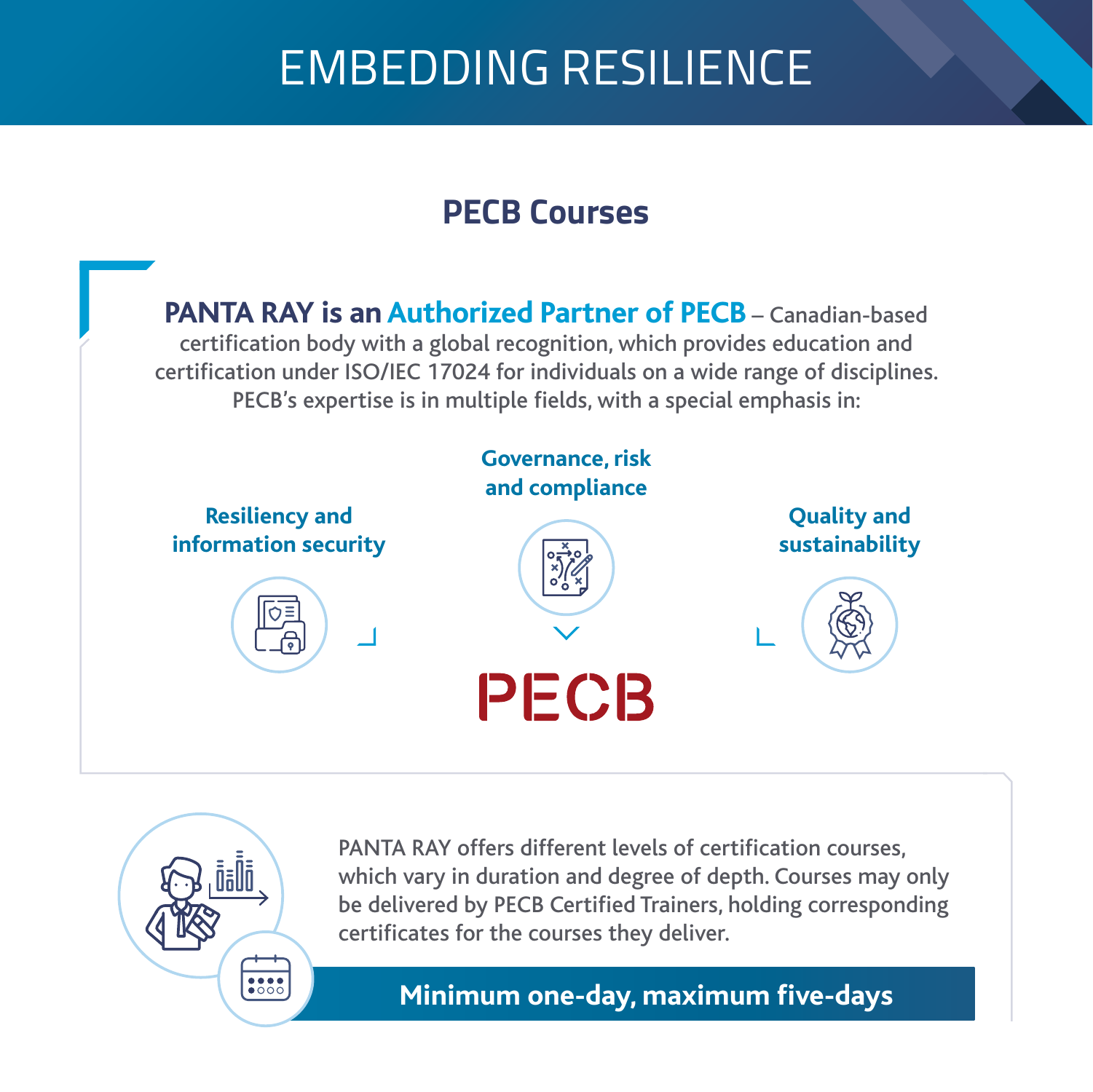## EMBEDDING RESILIENCE

#### **PECB Courses**

**PANTA RAY is an Authorized Partner of PECB** – Canadian-based certification body with a global recognition, which provides education and [certification under ISO/IEC 17024 for individuals on a wide range of disciplines.](https://pecb.com)  PECB's expertise is in multiple fields, with a special emphasis in:





PANTA RAY offers different levels of certification courses, which vary in duration and degree of depth. Courses may only be delivered by PECB Certified Trainers, holding corresponding certificates for the courses they deliver.

**Minimum one-day, maximum five-days**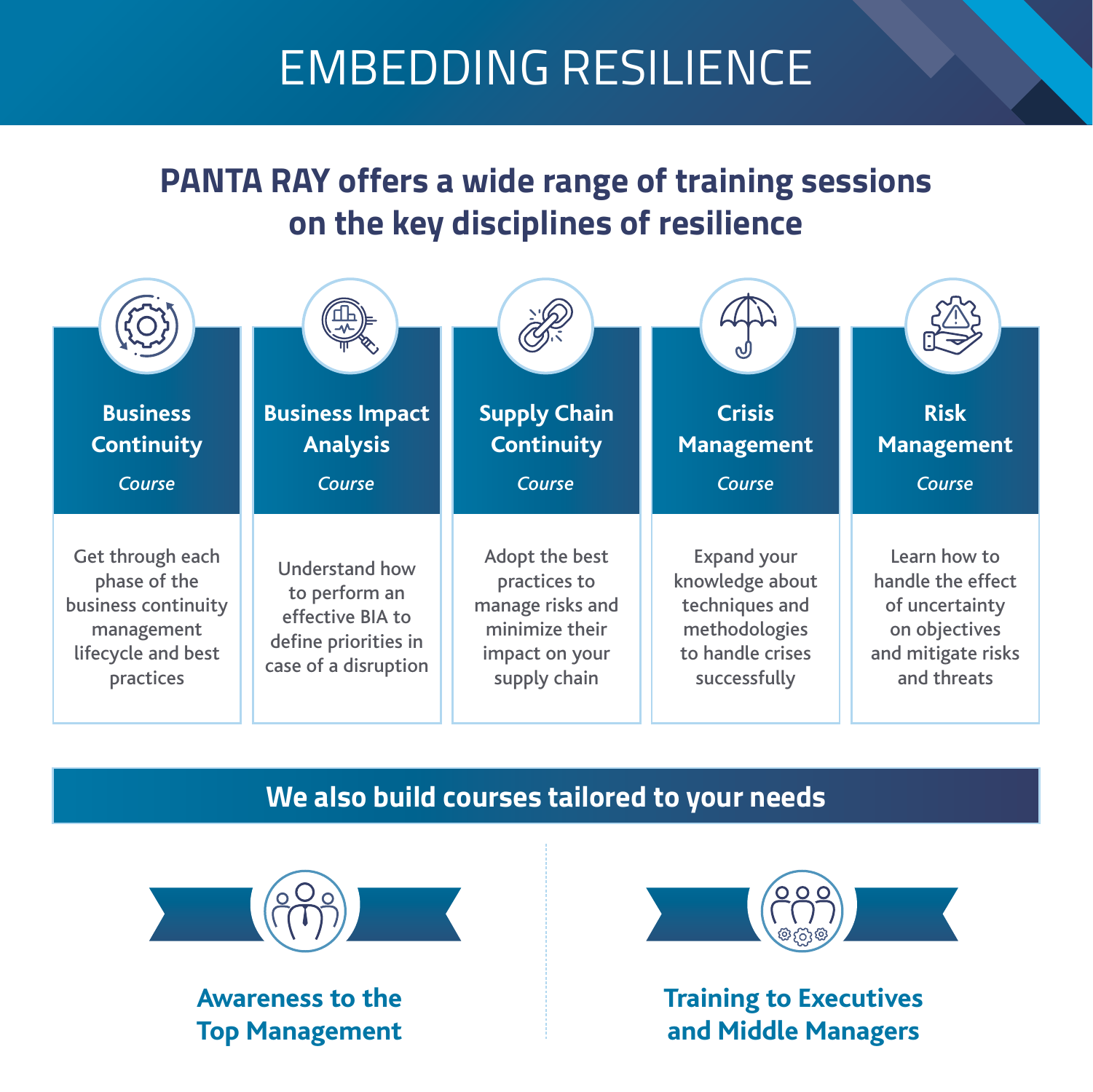## EMBEDDING RESILIENCE

#### **PANTA RAY offers a wide range of training sessions on the key disciplines of resilience**

| <b>Business</b>                                                                                          | <b>Business Impact</b>                                                                                     | <b>Supply Chain</b>                                                                                    | (J<br><b>Crisis</b>                                                                                          | <b>Risk</b>                                                                                               |
|----------------------------------------------------------------------------------------------------------|------------------------------------------------------------------------------------------------------------|--------------------------------------------------------------------------------------------------------|--------------------------------------------------------------------------------------------------------------|-----------------------------------------------------------------------------------------------------------|
| <b>Continuity</b><br>Course                                                                              | <b>Analysis</b><br>Course                                                                                  | <b>Continuity</b><br>Course                                                                            | <b>Management</b><br>Course                                                                                  | <b>Management</b><br>Course                                                                               |
| Get through each<br>phase of the<br>business continuity<br>management<br>lifecycle and best<br>practices | <b>Understand how</b><br>to perform an<br>effective BIA to<br>define priorities in<br>case of a disruption | Adopt the best<br>practices to<br>manage risks and<br>minimize their<br>impact on your<br>supply chain | <b>Expand your</b><br>knowledge about<br>techniques and<br>methodologies<br>to handle crises<br>successfully | Learn how to<br>handle the effect<br>of uncertainty<br>on objectives<br>and mitigate risks<br>and threats |

#### **We also build courses tailored to your needs**



**Awareness to the Top Management**



**Training to Executives and Middle Managers**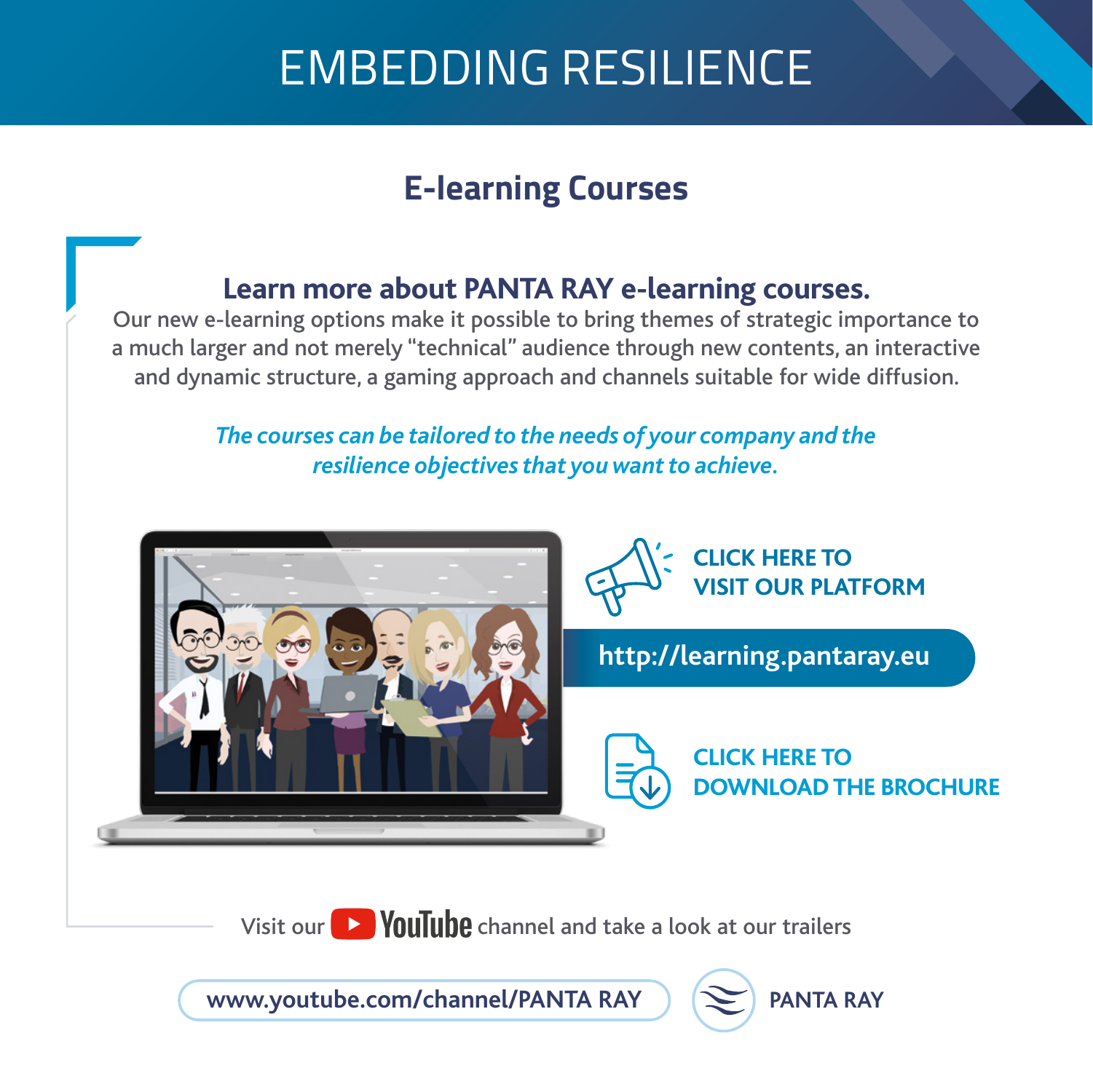## EMBEDDING RESILIENCE

### **E-learning Courses**

#### **Learn more about PANTA RAY e-learning courses.**

Our new e-learning options make it possible to bring themes of strategic importance to a much larger and not merely "technical" audience through new contents, an interactive and dynamic structure, a gaming approach and channels suitable for wide diffusion.

#### *The courses can be tailored to the needs of your company and the resilience objectives that you want to achieve.*



Visit our  $\Box$  YouTube channel and take a look at our trailers

**[www.youtube.com/channel/PANTA RAY](https://www.youtube.com/channel/UCIcxRo4SZMi4fBfbP14gWgw)**

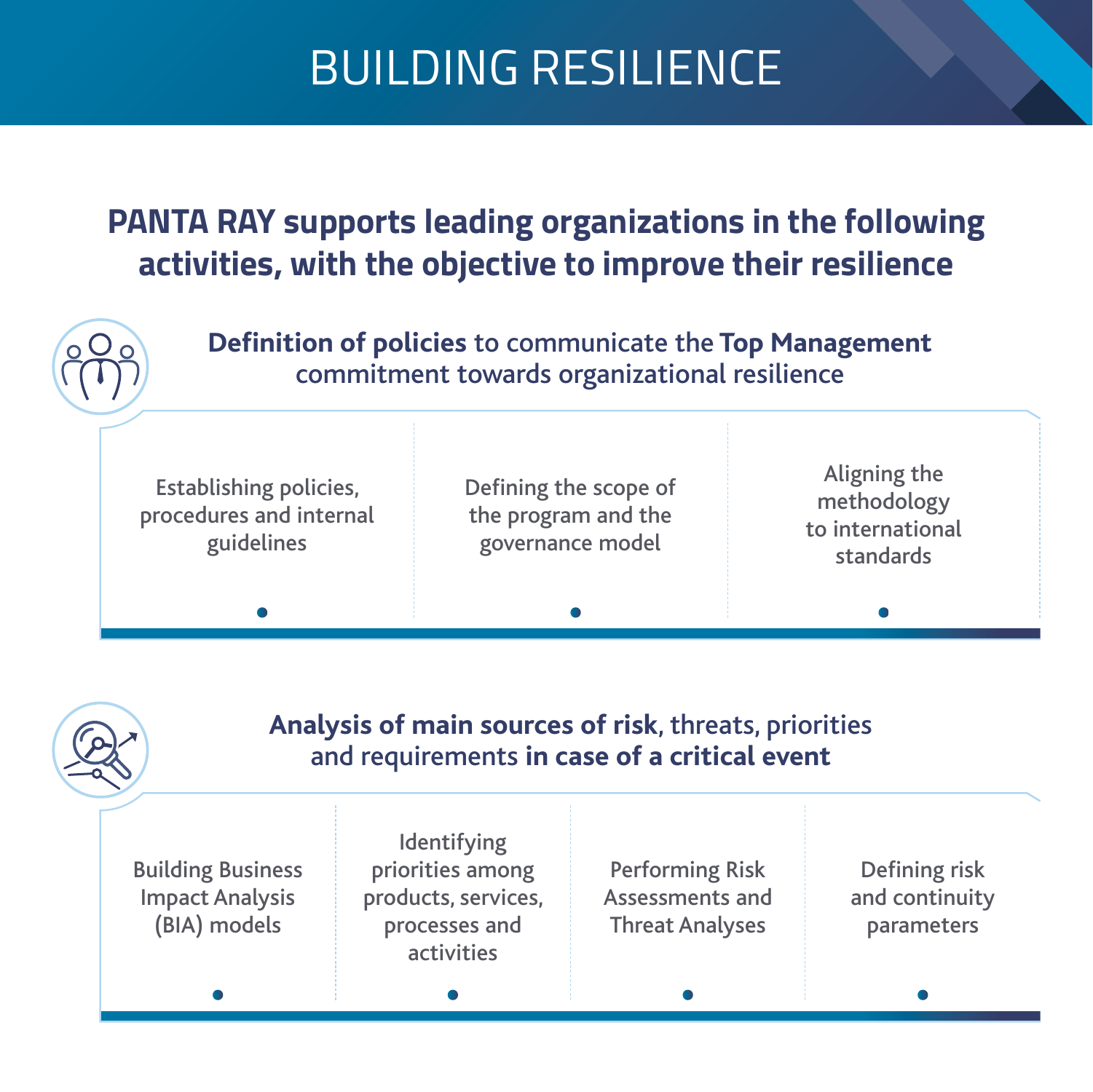#### **PANTA RAY supports leading organizations in the following activities, with the objective to improve their resilience**



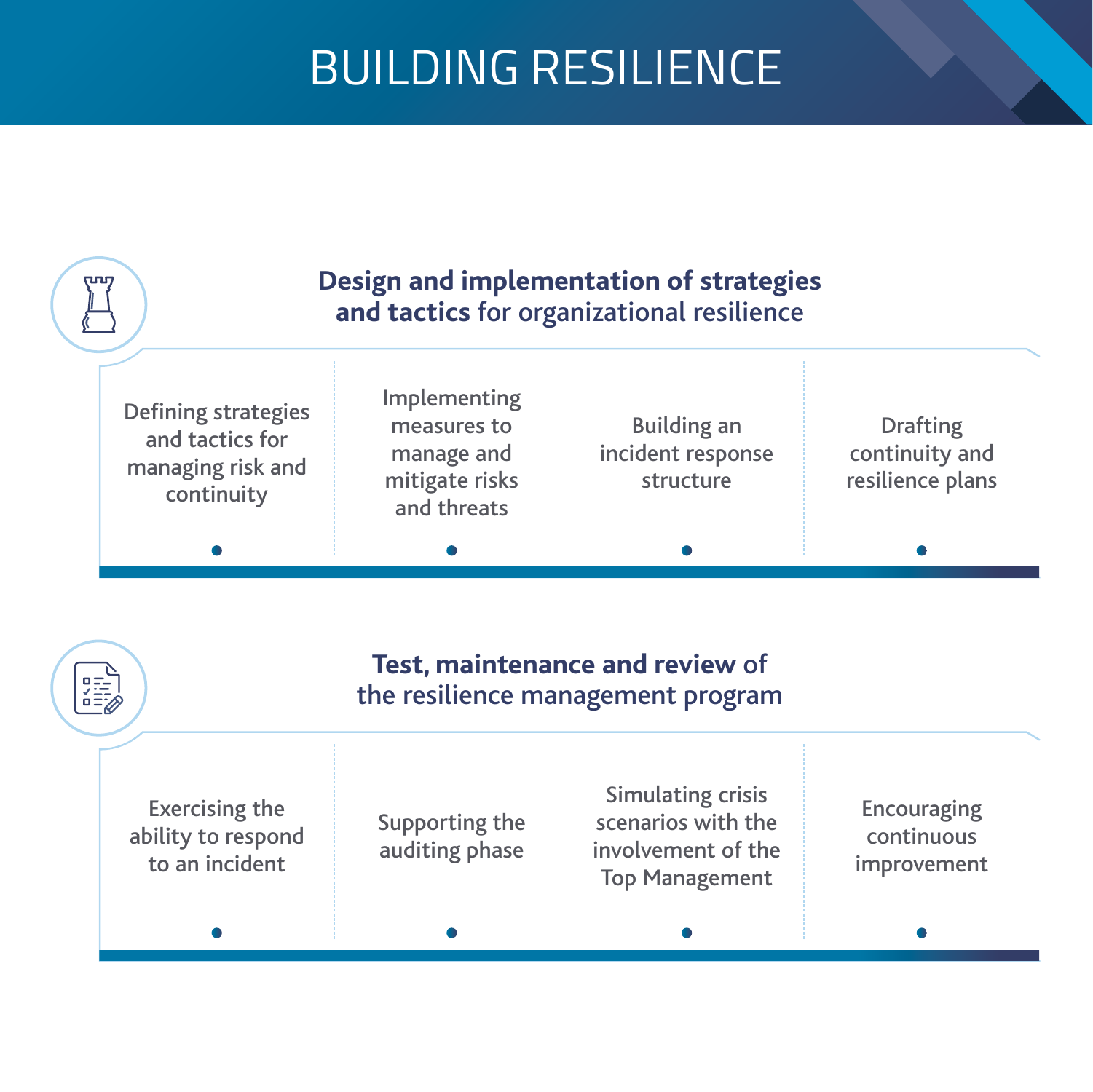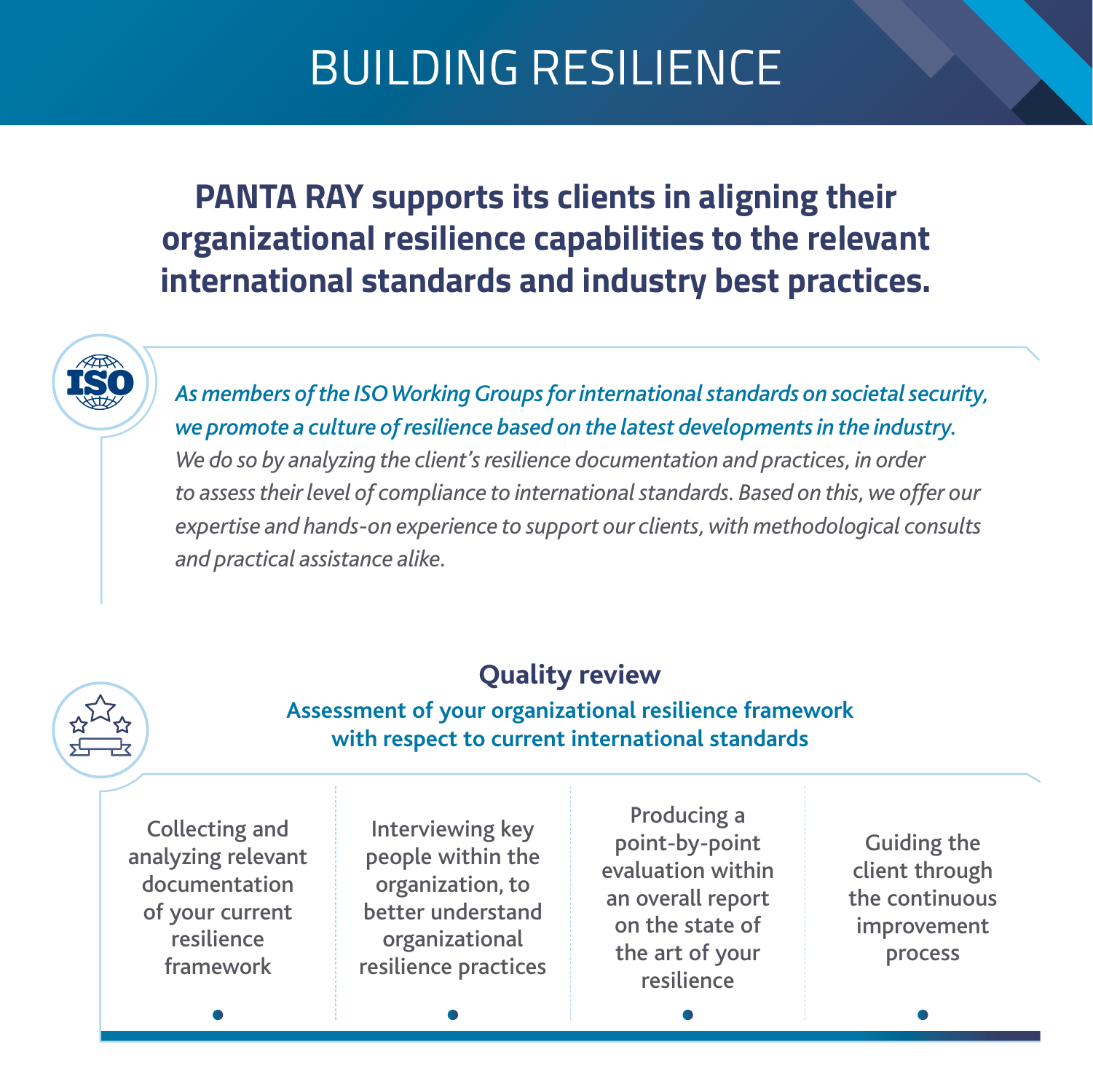#### **PANTA RAY supports its clients in aligning their organizational resilience capabilities to the relevant international standards and industry best practices.**

*As members of the ISO Working Groups for international standards on societal security, we promote a culture of resilience based on the latest developments in the industry. We do so by analyzing the client's resilience documentation and practices, in order to assess their level of compliance to international standards. Based on this, we offer our expertise and hands-on experience to support our clients, with methodological consults and practical assistance alike.*

#### **Quality review**

#### **Assessment of your organizational resilience framework with respect to current international standards**

Collecting and analyzing relevant documentation of your current resilience framework

Interviewing key people within the organization, to better understand organizational resilience practices

Producing a point-by-point evaluation within an overall report on the state of the art of your resilience

Guiding the client through the continuous improvement process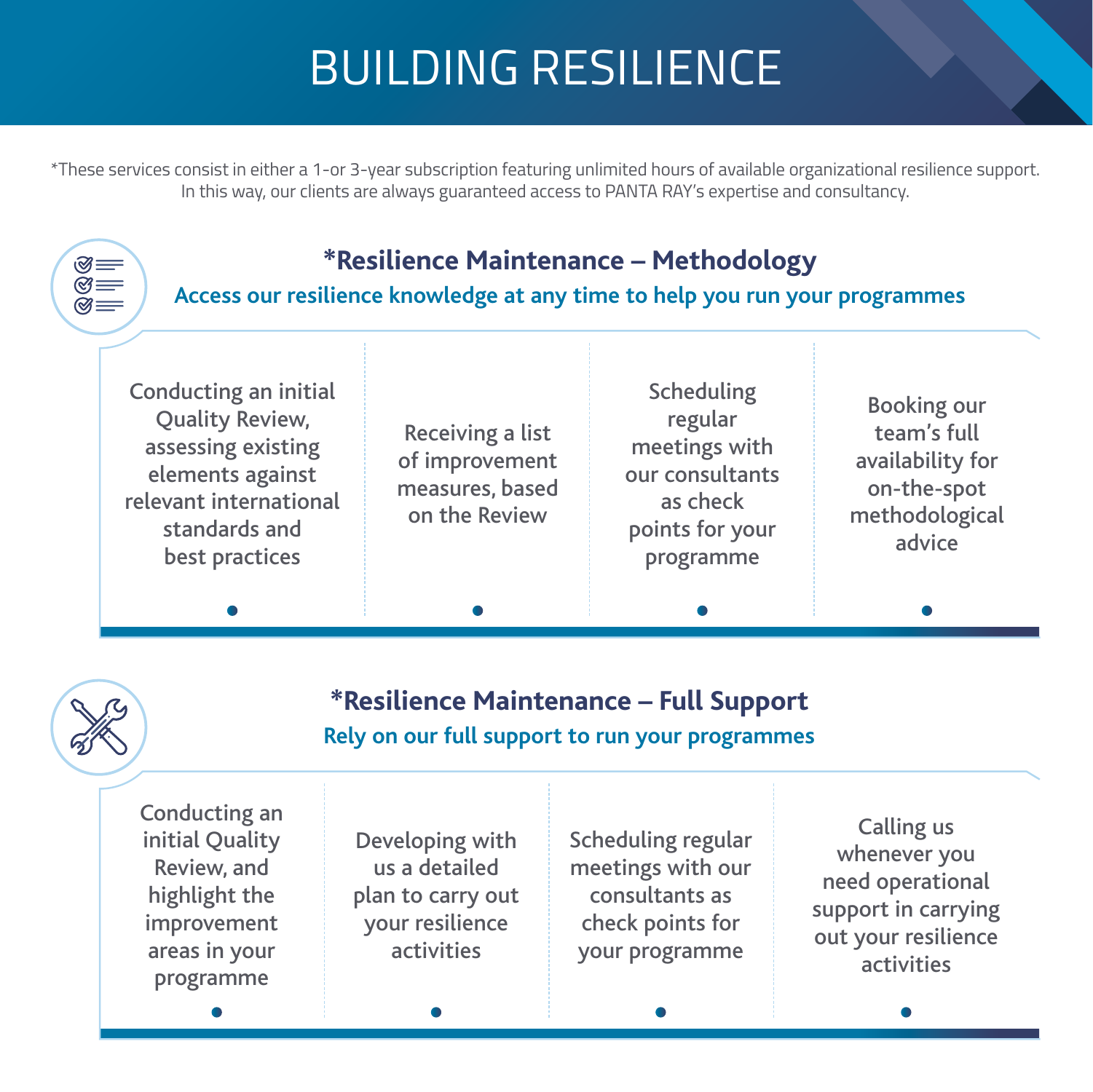\*These services consist in either a 1-or 3-year subscription featuring unlimited hours of available organizational resilience support. In this way, our clients are always guaranteed access to PANTA RAY's expertise and consultancy.

#### **\*Resilience Maintenance – Methodology**

**Access our resilience knowledge at any time to help you run your programmes**

Conducting an initial Quality Review, assessing existing elements against relevant international standards and best practices

 $\begin{matrix} \otimes \ \otimes \ \cong \ \mathbb{R} \end{matrix}$ 

Receiving a list of improvement measures, based on the Review

Scheduling regular meetings with our consultants as check points for your programme

Booking our team's full availability for on-the-spot methodological advice

#### **\*Resilience Maintenance – Full Support Rely on our full support to run your programmes**

Conducting an initial Quality Review, and highlight the improvement areas in your programme

Developing with us a detailed plan to carry out your resilience activities

Scheduling regular meetings with our consultants as check points for your programme

Calling us whenever you need operational support in carrying out your resilience activities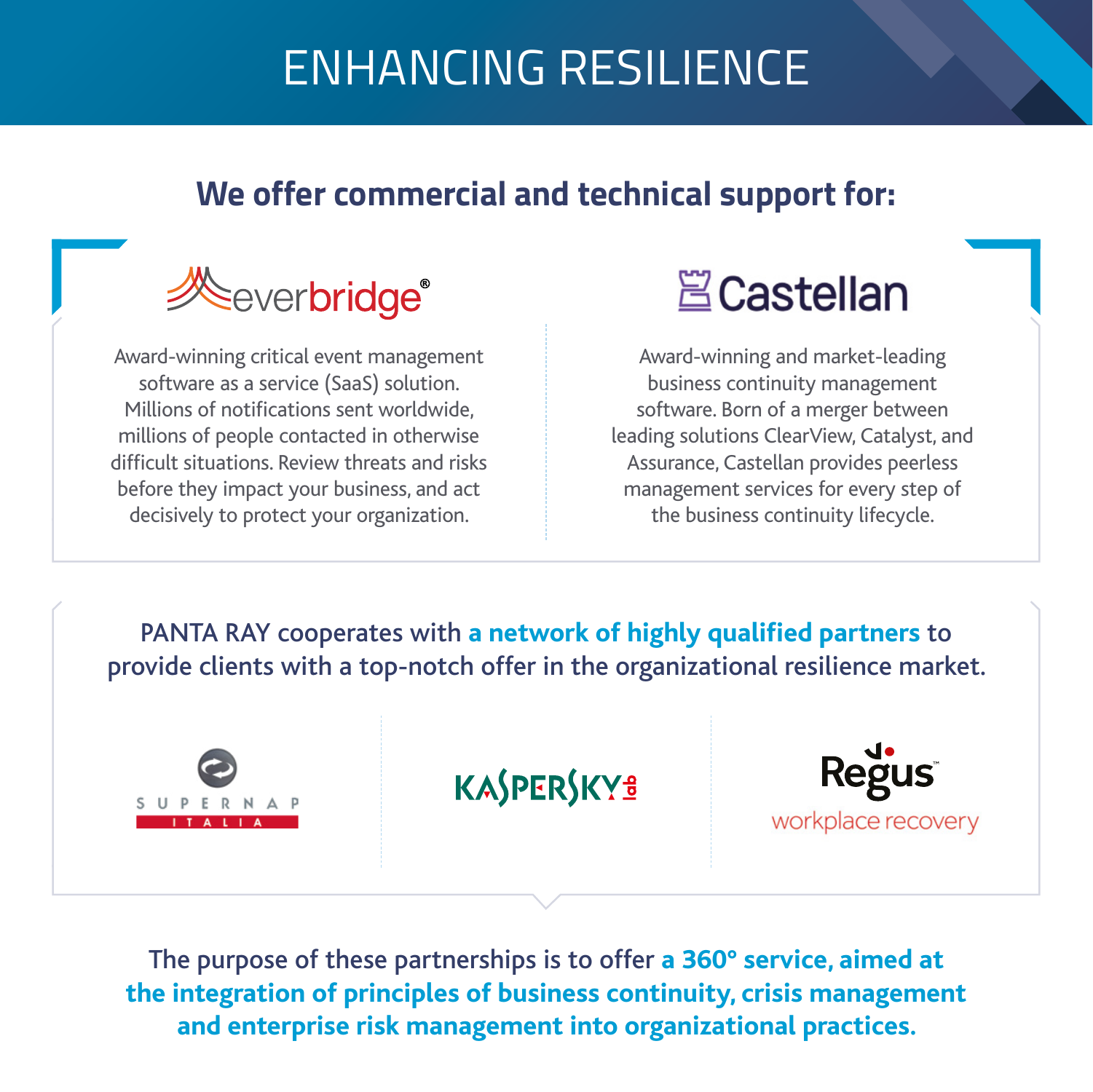## ENHANCING RESILIENCE

#### **We offer commercial and technical support for:**



Award-winning critical event management software as a service (SaaS) solution. Millions of notifications sent worldwide, millions of people contacted in otherwise [difficult situations. Review threats and risks](https://www.everbridge.com)  before they impact your business, and act decisively to protect your organization.

## **A** Castellan

Award-winning and market-leading business continuity management software. Born of a merger between [leading solutions ClearView, Catalyst, and](https://castellanbc.com)  Assurance, Castellan provides peerless management services for every step of the business continuity lifecycle.

PANTA RAY cooperates with **a network of highly qualified partners** to provide clients with a top-notch offer in the organizational resilience market.



KASPERSKYS



The purpose of these partnerships is to offer **a 360° service, aimed at the integration of principles of business continuity, crisis management and enterprise risk management into organizational practices.**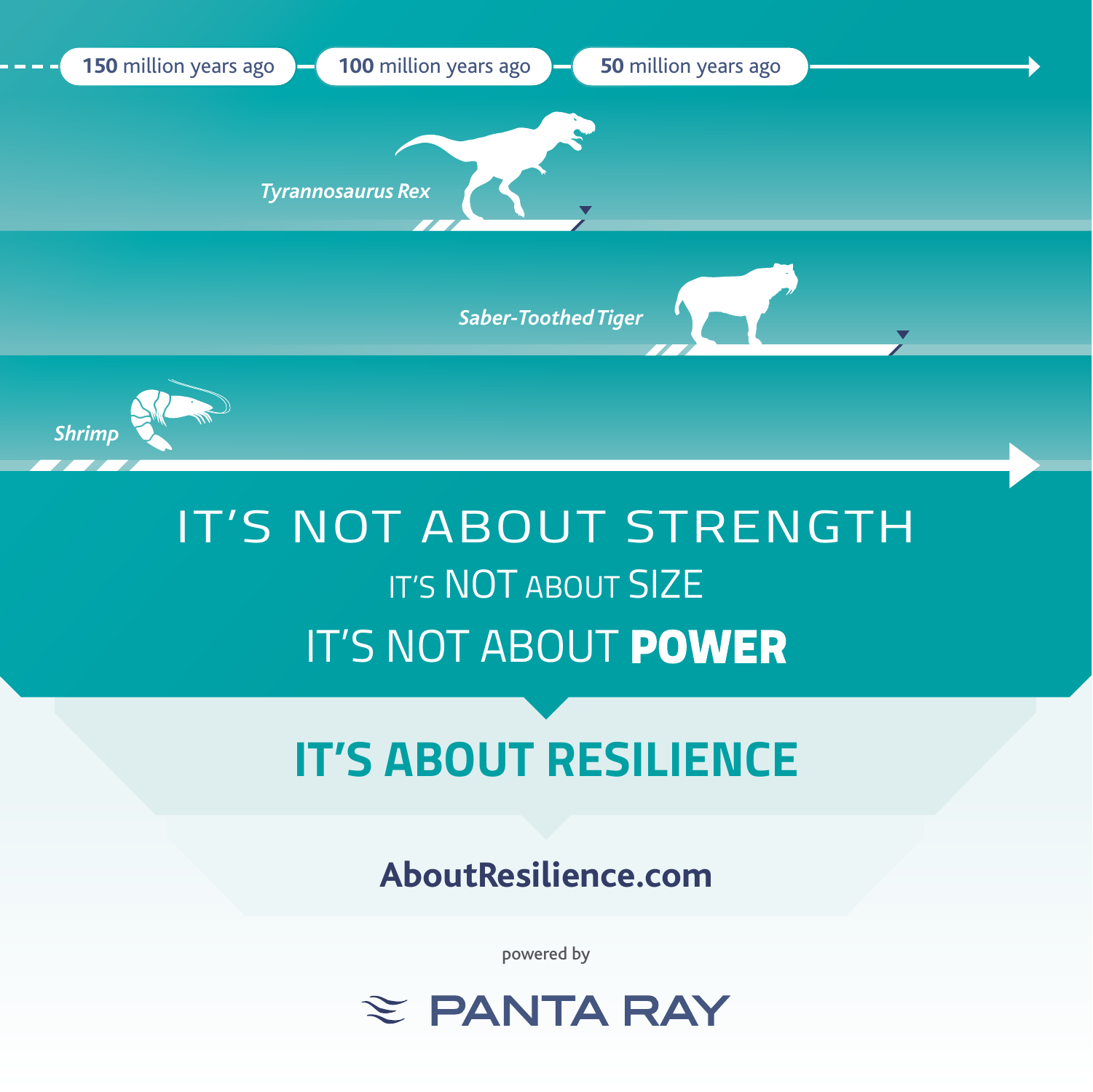

## IT'S NOT ABOUT STRENGTH IT'S NOT ABOUT SIZE IT'S NOT ABOUT **POWER**

## **IT'S ABOUT RESILIENCE**

**[AboutResilience.com](https://www.aboutresilience.com)**

powered by